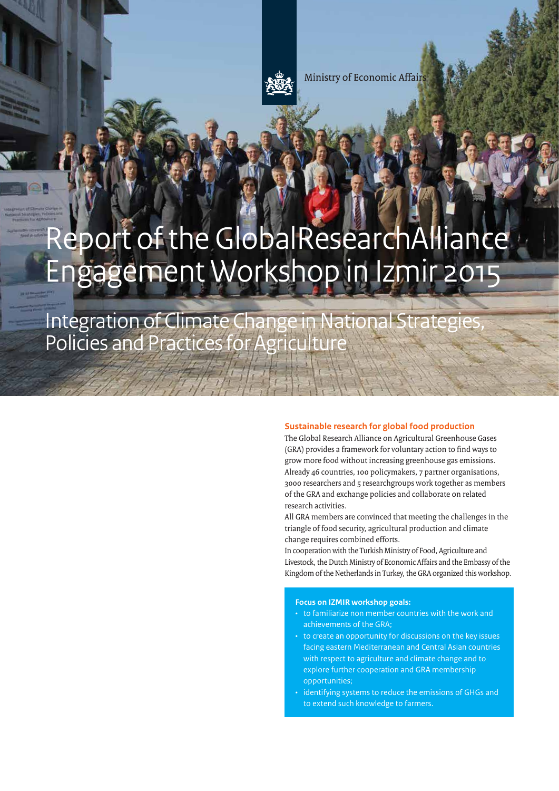

**Ministry of Economic Affairs** 

# Report of the GlobalResearchAlliance Engagement Workshop in Izmir 2015

Integration of Climate Change in National Strategies, Policies and Practices for Agriculture

# **Sustainable research for global food production**

The Global Research Alliance on Agricultural Greenhouse Gases (GRA) provides a framework for voluntary action to find ways to grow more food without increasing greenhouse gas emissions. Already 46 countries, 100 policymakers, 7 partner organisations, 3000 researchers and 5 researchgroups work together as members of the GRA and exchange policies and collaborate on related research activities.

All GRA members are convinced that meeting the challenges in the triangle of food security, agricultural production and climate change requires combined efforts.

In cooperation with the Turkish Ministry of Food, Agriculture and Livestock, the Dutch Ministry of Economic Affairs and the Embassy of the Kingdom of the Netherlands in Turkey, the GRA organized this workshop.

#### **Focus on IZMIR workshop goals:**

- to familiarize non member countries with the work and achievements of the GRA;
- to create an opportunity for discussions on the key issues facing eastern Mediterranean and Central Asian countries with respect to agriculture and climate change and to explore further cooperation and GRA membership opportunities;
- identifying systems to reduce the emissions of GHGs and to extend such knowledge to farmers.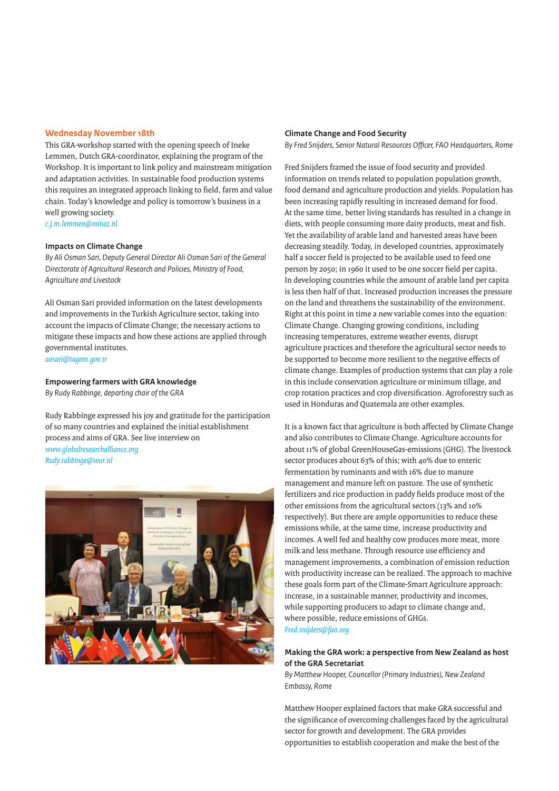#### **Wednesday November 18th**

This GRA-workshop started with the opening speech of Ineke Lemmen, Dutch GRA-coordinator, explaining the program of the Workshop. It is important to link policy and mainstream mitigation and adaptation activities. In sustainable food production systems this requires an integrated approach linking to field, farm and value chain. Today's knowledge and policy is tomorrow's business in a well growing society. *c.j.m.lemmen@minez.nl*

#### **Impacts on Climate Change**

*By Ali Osman Sari, Deputy General Director Ali Osman Sari of the General Directorate of Agricultural Research and Policies, Ministry of Food, Agriculture and Livestock* 

Ali Osman Sari provided information on the latest developments and improvements in the Turkish Agriculture sector, taking into account the impacts of Climate Change; the necessary actions to mitigate these impacts and how these actions are applied through governmental institutes. *aosari@tagem.gov.tr*

#### **Empowering farmers with GRA knowledge**

*By Rudy Rabbinge, departing chair of the GRA*

Rudy Rabbinge expressed his joy and gratitude for the participation of so many countries and explained the initial establishment process and aims of GRA. See live interview on *www.globalresearchalliance.org Rudy.rabbinge@wur.nl*



#### **Climate Change and Food Security**

*By Fred Snijders, Senior Natural Resources Officer, FAO Headquarters, Rome*

Fred Snijders framed the issue of food security and provided information on trends related to population population growth, food demand and agriculture production and yields. Population has been increasing rapidly resulting in increased demand for food. At the same time, better living standards has resulted in a change in diets, with people consuming more dairy products, meat and fish. Yet the availability of arable land and harvested areas have been decreasing steadily. Today, in developed countries, approximately half a soccer field is projected to be available used to feed one person by 2050; in 1960 it used to be one soccer field per capita. In developing countries while the amount of arable land per capita is less then half of that. Increased production increases the pressure on the land and threathens the sustainability of the environment. Right at this point in time a new variable comes into the equation: Climate Change. Changing growing conditions, including increasing temperatures, extreme weather events, disrupt agriculture practices and therefore the agricultural sector needs to be supported to become more resilient to the negative effects of climate change. Examples of production systems that can play a role in this include conservation agriculture or minimum tillage, and crop rotation practices and crop diversification. Agroforestry such as used in Honduras and Quatemala are other examples.

It is a known fact that agriculture is both affected by Climate Change and also contributes to Climate Change. Agriculture accounts for about 11% of global GreenHouseGas-emissions (GHG). The livestock sector produces about 63% of this; with 40% due to enteric fermentation by ruminants and with 16% due to manure management and manure left on pasture. The use of synthetic fertilizers and rice production in paddy fields produce most of the other emissions from the agricultural sectors (13% and 10% respectively). But there are ample opportunities to reduce these emissions while, at the same time, increase productivity and incomes. A well fed and healthy cow produces more meat, more milk and less methane. Through resource use efficiency and management improvements, a combination of emission reduction with productivity increase can be realized. The approach to machive these goals form part of the Climate-Smart Agriculture approach: increase, in a sustainable manner, productivity and incomes, while supporting producers to adapt to climate change and, where possible, reduce emissions of GHGs. *Fred.snijders@fao.org*

# **Making the GRA work: a perspective from New Zealand as host of the GRA Secretariat**

*By Matthew Hooper, Councellor (Primary Industries), New Zealand Embassy, Rome* 

Matthew Hooper explained factors that make GRA successful and the significance of overcoming challenges faced by the agricultural sector for growth and development. The GRA provides opportunities to establish cooperation and make the best of the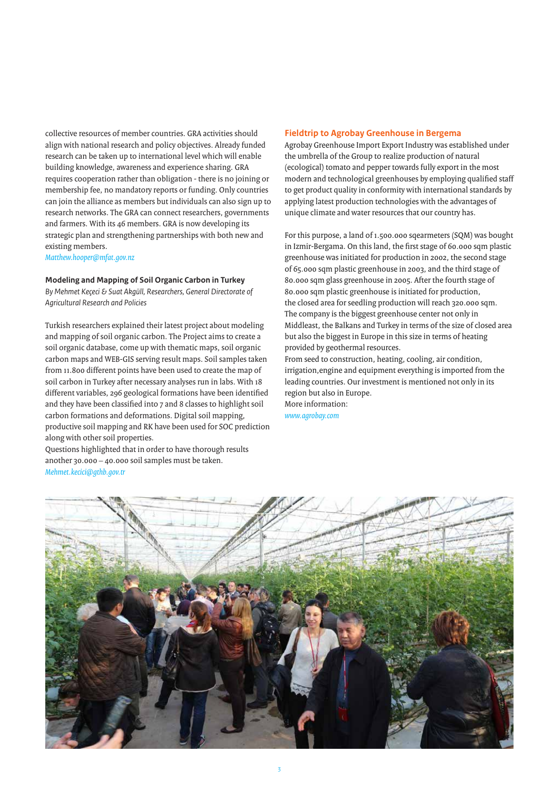collective resources of member countries. GRA activities should align with national research and policy objectives. Already funded research can be taken up to international level which will enable building knowledge, awareness and experience sharing. GRA requires cooperation rather than obligation - there is no joining or membership fee, no mandatory reports or funding. Only countries can join the alliance as members but individuals can also sign up to research networks. The GRA can connect researchers, governments and farmers. With its 46 members. GRA is now developing its strategic plan and strengthening partnerships with both new and existing members.

*Matthew.hooper@mfat.gov.nz*

**Modeling and Mapping of Soil Organic Carbon in Turkey** *By Mehmet Keçeci & Suat Akgüll, Researchers, General Directorate of* 

*Agricultural Research and Policies*

Turkish researchers explained their latest project about modeling and mapping of soil organic carbon. The Project aims to create a soil organic database, come up with thematic maps, soil organic carbon maps and WEB-GIS serving result maps. Soil samples taken from 11.800 different points have been used to create the map of soil carbon in Turkey after necessary analyses run in labs. With 18 different variables, 296 geological formations have been identified and they have been classified into 7 and 8 classes to highlight soil carbon formations and deformations. Digital soil mapping, productive soil mapping and RK have been used for SOC prediction along with other soil properties.

Questions highlighted that in order to have thorough results another 30.000 – 40.000 soil samples must be taken. *Mehmet.kecici@gthb.gov.tr*

#### **Fieldtrip to Agrobay Greenhouse in Bergema**

Agrobay Greenhouse Import Export Industry was established under the umbrella of the Group to realize production of natural (ecological) tomato and pepper towards fully export in the most modern and technological greenhouses by employing qualified staff to get product quality in conformity with international standards by applying latest production technologies with the advantages of unique climate and water resources that our country has.

For this purpose, a land of 1.500.000 sqearmeters (SQM) was bought in Izmir-Bergama. On this land, the first stage of 60.000 sqm plastic greenhouse was initiated for production in 2002, the second stage of 65.000 sqm plastic greenhouse in 2003, and the third stage of 80.000 sqm glass greenhouse in 2005. After the fourth stage of 80.000 sqm plastic greenhouse is initiated for production, the closed area for seedling production will reach 320.000 sqm. The company is the biggest greenhouse center not only in Middleast, the Balkans and Turkey in terms of the size of closed area but also the biggest in Europe in this size in terms of heating provided by geothermal resources.

From seed to construction, heating, cooling, air condition, irrigation,engine and equipment everything is imported from the leading countries. Our investment is mentioned not only in its region but also in Europe. More information:

*www.agrobay.com*

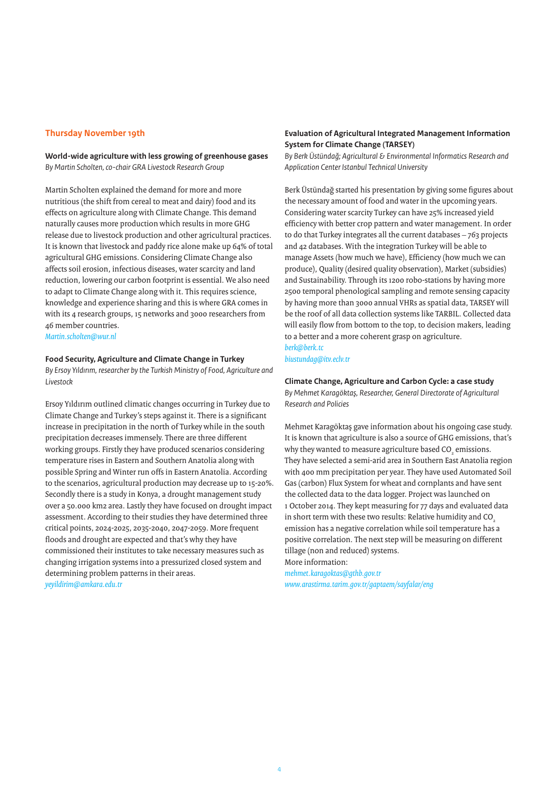#### **Thursday November 19th**

**World-wide agriculture with less growing of greenhouse gases** *By Martin Scholten, co-chair GRA Livestock Research Group* 

Martin Scholten explained the demand for more and more nutritious (the shift from cereal to meat and dairy) food and its effects on agriculture along with Climate Change. This demand naturally causes more production which results in more GHG release due to livestock production and other agricultural practices. It is known that livestock and paddy rice alone make up 64% of total agricultural GHG emissions. Considering Climate Change also affects soil erosion, infectious diseases, water scarcity and land reduction, lowering our carbon footprint is essential. We also need to adapt to Climate Change along with it. This requires science, knowledge and experience sharing and this is where GRA comes in with its 4 research groups, 15 networks and 3000 researchers from 46 member countries.

*Martin.scholten@wur.nl*

#### **Food Security, Agriculture and Climate Change in Turkey**

*By Ersoy Yıldırım, researcher by the Turkish Ministry of Food, Agriculture and Livestock* 

Ersoy Yıldırım outlined climatic changes occurring in Turkey due to Climate Change and Turkey's steps against it. There is a significant increase in precipitation in the north of Turkey while in the south precipitation decreases immensely. There are three different working groups. Firstly they have produced scenarios considering temperature rises in Eastern and Southern Anatolia along with possible Spring and Winter run offs in Eastern Anatolia. According to the scenarios, agricultural production may decrease up to 15-20%. Secondly there is a study in Konya, a drought management study over a 50.000 km2 area. Lastly they have focused on drought impact assessment. According to their studies they have determined three critical points, 2024-2025, 2035-2040, 2047-2059. More frequent floods and drought are expected and that's why they have commissioned their institutes to take necessary measures such as changing irrigation systems into a pressurized closed system and determining problem patterns in their areas. *yeyildirim@amkara.edu.tr*

# **Evaluation of Agricultural Integrated Management Information System for Climate Change (TARSEY)**

*By Berk Üstündağ; Agricultural & Environmental Informatics Research and Application Center Istanbul Technical University* 

Berk Üstündağ started his presentation by giving some figures about the necessary amount of food and water in the upcoming years. Considering water scarcity Turkey can have 25% increased yield efficiency with better crop pattern and water management. In order to do that Turkey integrates all the current databases – 763 projects and 42 databases. With the integration Turkey will be able to manage Assets (how much we have), Efficiency (how much we can produce), Quality (desired quality observation), Market (subsidies) and Sustainability. Through its 1200 robo-stations by having more 2500 temporal phenological sampling and remote sensing capacity by having more than 3000 annual VHRs as spatial data, TARSEY will be the roof of all data collection systems like TARBIL. Collected data will easily flow from bottom to the top, to decision makers, leading to a better and a more coherent grasp on agriculture. *berk@berk.tc*

*biustundag@itv.eclv.tr*

#### **Climate Change, Agriculture and Carbon Cycle: a case study**

*By Mehmet Karagöktaş, Researcher, General Directorate of Agricultural Research and Policies*

Mehmet Karagöktaş gave information about his ongoing case study. It is known that agriculture is also a source of GHG emissions, that's why they wanted to measure agriculture based CO<sub>2</sub> emissions. They have selected a semi-arid area in Southern East Anatolia region with 400 mm precipitation per year. They have used Automated Soil Gas (carbon) Flux System for wheat and cornplants and have sent the collected data to the data logger. Project was launched on 1 October 2014. They kept measuring for 77 days and evaluated data in short term with these two results: Relative humidity and CO emission has a negative correlation while soil temperature has a positive correlation. The next step will be measuring on different tillage (non and reduced) systems. More information:

*mehmet.karagoktas@gthb.gov.tr www.arastirma.tarim.gov.tr/gaptaem/sayfalar/eng*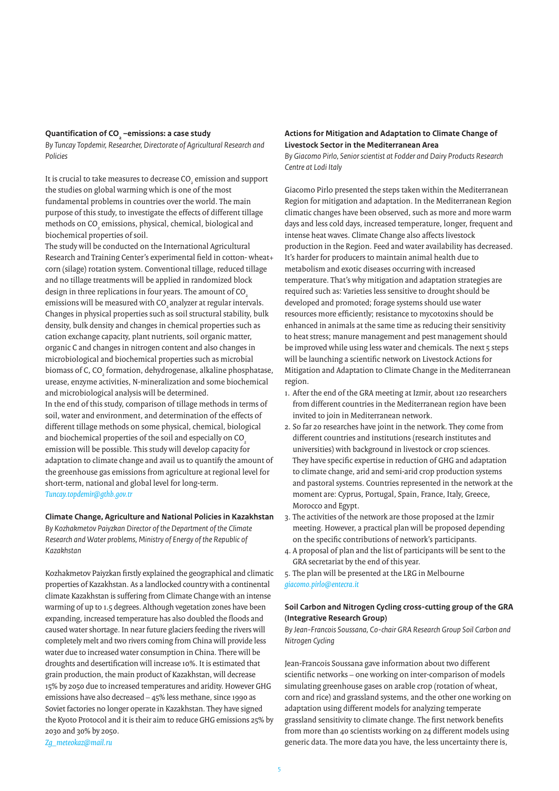# **Quantification of CO2 –emissions: a case study**

*By Tuncay Topdemir, Researcher, Directorate of Agricultural Research and Policies*

It is crucial to take measures to decrease CO $_{_2}$  emission and support the studies on global warming which is one of the most fundamental problems in countries over the world. The main purpose of this study, to investigate the effects of different tillage methods on CO $_{\tiny 2}$  emissions, physical, chemical, biological and biochemical properties of soil.

The study will be conducted on the International Agricultural Research and Training Center's experimental field in cotton- wheat+ corn (silage) rotation system. Conventional tillage, reduced tillage and no tillage treatments will be applied in randomized block design in three replications in four years. The amount of CO<sub>2</sub> emissions will be measured with CO<sub>2</sub> analyzer at regular intervals. Changes in physical properties such as soil structural stability, bulk density, bulk density and changes in chemical properties such as cation exchange capacity, plant nutrients, soil organic matter, organic C and changes in nitrogen content and also changes in microbiological and biochemical properties such as microbial biomass of C, CO<sub>2</sub> formation, dehydrogenase, alkaline phosphatase, urease, enzyme activities, N-mineralization and some biochemical and microbiological analysis will be determined. In the end of this study, comparison of tillage methods in terms of soil, water and environment, and determination of the effects of different tillage methods on some physical, chemical, biological and biochemical properties of the soil and especially on CO emission will be possible. This study will develop capacity for adaptation to climate change and avail us to quantify the amount of the greenhouse gas emissions from agriculture at regional level for short-term, national and global level for long-term. *Tuncay.topdemir@gthb.gov.tr*

# **Climate Change, Agriculture and National Policies in Kazakhstan**

*By Kozhakmetov Paiyzkan Director of the Department of the Climate Research and Water problems, Ministry of Energy of the Republic of Kazakhstan*

Kozhakmetov Paiyzkan firstly explained the geographical and climatic properties of Kazakhstan. As a landlocked country with a continental climate Kazakhstan is suffering from Climate Change with an intense warming of up to 1.5 degrees. Although vegetation zones have been expanding, increased temperature has also doubled the floods and caused water shortage. In near future glaciers feeding the rivers will completely melt and two rivers coming from China will provide less water due to increased water consumption in China. There will be droughts and desertification will increase 10%. It is estimated that grain production, the main product of Kazakhstan, will decrease 15% by 2050 due to increased temperatures and aridity. However GHG emissions have also decreased – 45% less methane, since 1990 as Soviet factories no longer operate in Kazakhstan. They have signed the Kyoto Protocol and it is their aim to reduce GHG emissions 25% by 2030 and 30% by 2050.

#### **Actions for Mitigation and Adaptation to Climate Change of Livestock Sector in the Mediterranean Area**

*By Giacomo Pirlo, Senior scientist at Fodder and Dairy Products Research Centre at Lodi Italy*

Giacomo Pirlo presented the steps taken within the Mediterranean Region for mitigation and adaptation. In the Mediterranean Region climatic changes have been observed, such as more and more warm days and less cold days, increased temperature, longer, frequent and intense heat waves. Climate Change also affects livestock production in the Region. Feed and water availability has decreased. It's harder for producers to maintain animal health due to metabolism and exotic diseases occurring with increased temperature. That's why mitigation and adaptation strategies are required such as: Varieties less sensitive to drought should be developed and promoted; forage systems should use water resources more efficiently; resistance to mycotoxins should be enhanced in animals at the same time as reducing their sensitivity to heat stress; manure management and pest management should be improved while using less water and chemicals. The next 5 steps will be launching a scientific network on Livestock Actions for Mitigation and Adaptation to Climate Change in the Mediterranean region.

- 1. After the end of the GRA meeting at Izmir, about 120 researchers from different countries in the Mediterranean region have been invited to join in Mediterranean network.
- 2. So far 20 researches have joint in the network. They come from different countries and institutions (research institutes and universities) with background in livestock or crop sciences. They have specific expertise in reduction of GHG and adaptation to climate change, arid and semi-arid crop production systems and pastoral systems. Countries represented in the network at the moment are: Cyprus, Portugal, Spain, France, Italy, Greece, Morocco and Egypt.
- 3. The activities of the network are those proposed at the Izmir meeting. However, a practical plan will be proposed depending on the specific contributions of network's participants.
- 4. A proposal of plan and the list of participants will be sent to the GRA secretariat by the end of this year.
- 5. The plan will be presented at the LRG in Melbourne *giacomo.pirlo@entecra.it*

## **Soil Carbon and Nitrogen Cycling cross-cutting group of the GRA (Integrative Research Group)**

*By Jean-Francois Soussana, Co-chair GRA Research Group Soil Carbon and Nitrogen Cycling*

Jean-Francois Soussana gave information about two different scientific networks – one working on inter-comparison of models simulating greenhouse gases on arable crop (rotation of wheat, corn and rice) and grassland systems, and the other one working on adaptation using different models for analyzing temperate grassland sensitivity to climate change. The first network benefits from more than 40 scientists working on 24 different models using generic data. The more data you have, the less uncertainty there is,

*Zg\_meteokaz@mail.ru*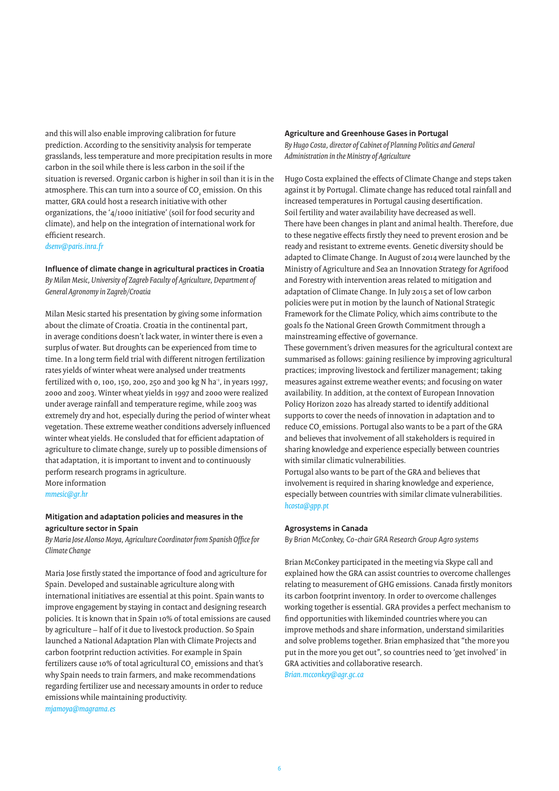and this will also enable improving calibration for future prediction. According to the sensitivity analysis for temperate grasslands, less temperature and more precipitation results in more carbon in the soil while there is less carbon in the soil if the situation is reversed. Organic carbon is higher in soil than it is in the atmosphere. This can turn into a source of CO $_{_2}$  emission. On this matter, GRA could host a research initiative with other organizations, the '4/1000 initiative' (soil for food security and climate), and help on the integration of international work for efficient research.

*dsenv@paris.inra.fr*

**Influence of climate change in agricultural practices in Croatia** *By Milan Mesic, University of Zagreb Faculty of Agriculture, Department of General Agronomy in Zagreb/Croatia*

Milan Mesic started his presentation by giving some information about the climate of Croatia. Croatia in the continental part, in average conditions doesn't lack water, in winter there is even a surplus of water. But droughts can be experienced from time to time. In a long term field trial with different nitrogen fertilization rates yields of winter wheat were analysed under treatments fertilized with 0, 100, 150, 200, 250 and 300 kg N ha<sup>-1</sup>, in years 1997, 2000 and 2003. Winter wheat yields in 1997 and 2000 were realized under average rainfall and temperature regime, while 2003 was extremely dry and hot, especially during the period of winter wheat vegetation. These extreme weather conditions adversely influenced winter wheat yields. He consluded that for efficient adaptation of agriculture to climate change, surely up to possible dimensions of that adaptation, it is important to invent and to continuously perform research programs in agriculture. More information

*mmesic@gr.hr*

## **Mitigation and adaptation policies and measures in the agriculture sector in Spain**

*By Maria Jose Alonso Moya, Agriculture Coordinator from Spanish Office for Climate Change*

Maria Jose firstly stated the importance of food and agriculture for Spain. Developed and sustainable agriculture along with international initiatives are essential at this point. Spain wants to improve engagement by staying in contact and designing research policies. It is known that in Spain 10% of total emissions are caused by agriculture – half of it due to livestock production. So Spain launched a National Adaptation Plan with Climate Projects and carbon footprint reduction activities. For example in Spain fertilizers cause 10% of total agricultural CO $_{\tiny 2}$  emissions and that's why Spain needs to train farmers, and make recommendations regarding fertilizer use and necessary amounts in order to reduce emissions while maintaining productivity. *mjamoya@magrama.es*

#### **Agriculture and Greenhouse Gases in Portugal**

*By Hugo Costa, director of Cabinet of Planning Politics and General Administration in the Ministry of Agriculture*

Hugo Costa explained the effects of Climate Change and steps taken against it by Portugal. Climate change has reduced total rainfall and increased temperatures in Portugal causing desertification. Soil fertility and water availability have decreased as well. There have been changes in plant and animal health. Therefore, due to these negative effects firstly they need to prevent erosion and be ready and resistant to extreme events. Genetic diversity should be adapted to Climate Change. In August of 2014 were launched by the Ministry of Agriculture and Sea an Innovation Strategy for Agrifood and Forestry with intervention areas related to mitigation and adaptation of Climate Change. In July 2015 a set of low carbon policies were put in motion by the launch of National Strategic Framework for the Climate Policy, which aims contribute to the goals fo the National Green Growth Commitment through a mainstreaming effective of governance.

These government's driven measures for the agricultural context are summarised as follows: gaining resilience by improving agricultural practices; improving livestock and fertilizer management; taking measures against extreme weather events; and focusing on water availability. In addition, at the context of European Innovation Policy Horizon 2020 has already started to identify additional supports to cover the needs of innovation in adaptation and to reduce CO<sub>2</sub> emissions. Portugal also wants to be a part of the GRA and believes that involvement of all stakeholders is required in sharing knowledge and experience especially between countries with similar climatic vulnerabilities.

Portugal also wants to be part of the GRA and believes that involvement is required in sharing knowledge and experience, especially between countries with similar climate vulnerabilities. *hcosta@gpp.pt*

#### **Agrosystems in Canada**

*By Brian McConkey, Co-chair GRA Research Group Agro systems*

Brian McConkey participated in the meeting via Skype call and explained how the GRA can assist countries to overcome challenges relating to measurement of GHG emissions. Canada firstly monitors its carbon footprint inventory. In order to overcome challenges working together is essential. GRA provides a perfect mechanism to find opportunities with likeminded countries where you can improve methods and share information, understand similarities and solve problems together. Brian emphasized that "the more you put in the more you get out", so countries need to 'get involved' in GRA activities and collaborative research.

*Brian.mcconkey@agr.gc.ca*